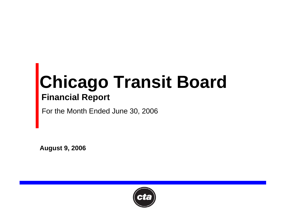# **Chicago Transit Board Financial Report**

For the Month Ended June 30, 2006

**August 9, 2006**

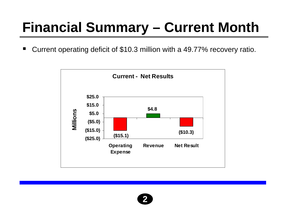## **Financial Summary – Current Month**

Current operating deficit of \$10.3 million with a 49.77% recovery ratio.  $\blacksquare$ 



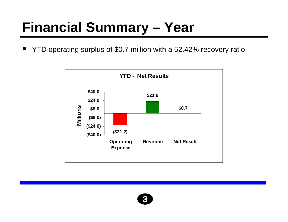### **Financial Summary - Year**

YTD operating surplus of \$0.7 million with a 52.42% recovery ratio.  $\blacksquare$ 



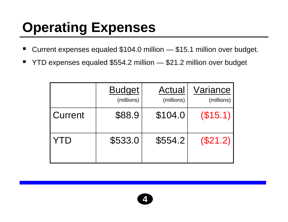## **Operating Expenses**

- ٠ Current expenses equaled \$104.0 million — \$15.1 million over budget.
- ٠ YTD expenses equaled \$554.2 million — \$21.2 million over budget

|                | <b>Budget</b><br>(millions) | Actual<br>(millions) | Variance<br>(millions) |
|----------------|-----------------------------|----------------------|------------------------|
| <b>Current</b> | \$88.9                      | \$104.0              | (\$15.1)               |
| YTD            | \$533.0                     | \$554.2              | (\$21.2)               |

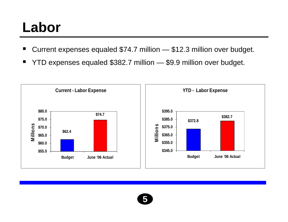#### **Labor**

- ٠ Current expenses equaled \$74.7 million — \$12.3 million over budget.
- ٠ YTD expenses equaled \$382.7 million — \$9.9 million over budget.



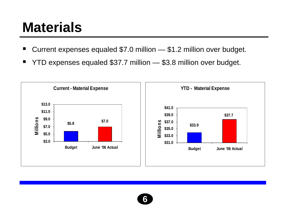#### **Materials**

- ٠ Current expenses equaled \$7.0 million — \$1.2 million over budget.
- ٠ YTD expenses equaled \$37.7 million — \$3.8 million over budget.



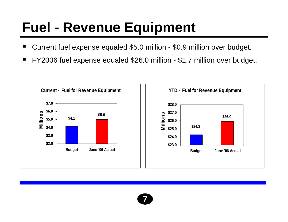## **Fuel - Revenue Equipment**

- ٠ Current fuel expense equaled \$5.0 million - \$0.9 million over budget.
- ٠ FY2006 fuel expense equaled \$26.0 million - \$1.7 million over budget.



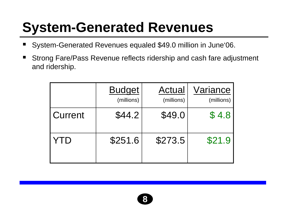## **System-Generated Revenues**

- ٠ System-Generated Revenues equaled \$49.0 million in June'06.
- ٠ Strong Fare/Pass Revenue reflects ridership and cash fare adjustment and ridership.

|         | <b>Budget</b><br>(millions) | Actual<br>(millions) | Variance<br>(millions) |
|---------|-----------------------------|----------------------|------------------------|
| Current | \$44.2                      | \$49.0               | \$4.8                  |
| YTD     | \$251.6                     | \$273.5              | \$21.9                 |

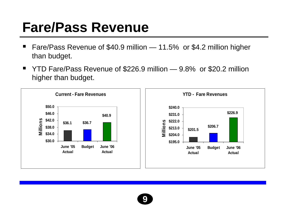### **Fare/Pass Revenue**

- Fare/Pass Revenue of \$40.9 million 11.5% or \$4.2 million higher n than budget.
- YTD Fare/Pass Revenue of \$226.9 million 9.8% or \$20.2 million  $\blacksquare$ higher than budget.



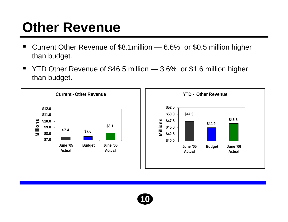#### **Other Revenue**

- ٠ ■ Current Other Revenue of \$8.1 million — 6.6% or \$0.5 million higher than budget.
- $\blacksquare$ ■ YTD Other Revenue of \$46.5 million — 3.6% or \$1.6 million higher than budget.